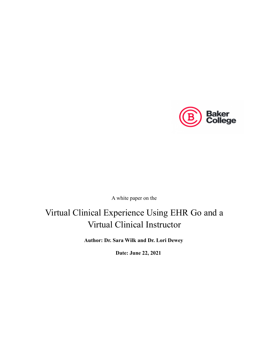

A white paper on the

## Virtual Clinical Experience Using EHR Go and a Virtual Clinical Instructor

**Author: Dr. Sara Wilk and Dr. Lori Dewey**

**Date: June 22, 2021**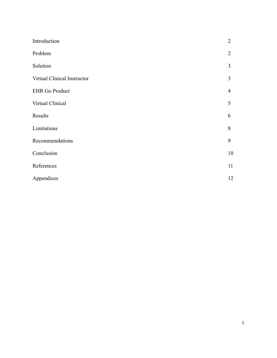| Introduction                | $\overline{2}$ |
|-----------------------------|----------------|
| Problem                     | $\overline{2}$ |
| Solution                    | 3              |
| Virtual Clinical Instructor | $\overline{3}$ |
| <b>EHR Go Product</b>       | $\overline{4}$ |
| Virtual Clinical            | 5              |
| Results                     | 6              |
| Limitations                 | 8              |
| Recommendations             | 9              |
| Conclusion                  | 10             |
| References                  | 11             |
| Appendices                  | 12             |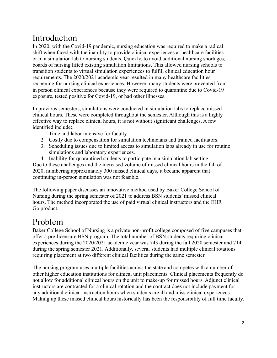## Introduction

In 2020, with the Covid-19 pandemic, nursing education was required to make a radical shift when faced with the inability to provide clinical experiences at healthcare facilities or in a simulation lab to nursing students. Quickly, to avoid additional nursing shortages, boards of nursing lifted existing simulation limitations. This allowed nursing schools to transition students to virtual simulation experiences to fulfill clinical education hour requirements. The 2020/2021 academic year resulted in many healthcare facilities reopening for nursing clinical experiences. However, many students were prevented from in person clinical experiences because they were required to quarantine due to Covid-19 exposure, tested positive for Covid-19, or had other illnesses.

In previous semesters, simulations were conducted in simulation labs to replace missed clinical hours. These were completed throughout the semester. Although this is a highly effective way to replace clinical hours, it is not without significant challenges. A few identified include:.

- 1. Time and labor intensive for faculty.
- 2. Costly due to compensation for simulation technicians and trained facilitators.
- 3. Scheduling issues due to limited access to simulation labs already in use for routine simulations and laboratory experiences.

4. Inability for quarantined students to participate in a simulation lab setting. Due to these challenges and the increased volume of missed clinical hours in the fall of 2020, numbering approximately 300 missed clinical days, it became apparent that continuing in-person simulation was not feasible.

The following paper discusses an innovative method used by Baker College School of Nursing during the spring semester of 2021 to address BSN students' missed clinical hours. The method incorporated the use of paid virtual clinical instructors and the EHR Go product.

## Problem

Baker College School of Nursing is a private non-profit college composed of five campuses that offer a pre-licensure BSN program. The total number of BSN students requiring clinical experiences during the 2020/2021 academic year was 743 during the fall 2020 semester and 714 during the spring semester 2021. Additionally, several students had multiple clinical rotations requiring placement at two different clinical facilities during the same semester.

The nursing program uses multiple facilities across the state and competes with a number of other higher education institutions for clinical unit placements. Clinical placements frequently do not allow for additional clinical hours on the unit to make-up for missed hours. Adjunct clinical instructors are contracted for a clinical rotation and the contract does not include payment for any additional clinical instruction hours when students are ill and miss clinical experiences. Making up these missed clinical hours historically has been the responsibility of full time faculty.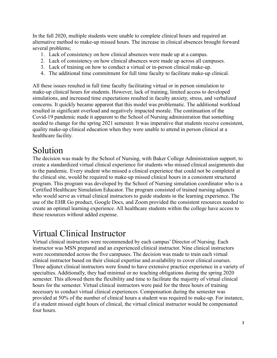In the fall 2020, multiple students were unable to complete clinical hours and required an alternative method to make-up missed hours. The increase in clinical absences brought forward several problems;

- 1. Lack of consistency on how clinical absences were made up at a campus.
- 2. Lack of consistency on how clinical absences were made up across all campuses.
- 3. Lack of training on how to conduct a virtual or in-person clinical make-up.
- 4. The additional time commitment for full time faculty to facilitate make-up clinical.

All these issues resulted in full time faculty facilitating virtual or in person simulation to make-up clinical hours for students. However, lack of training, limited access to developed simulations, and increased time expectations resulted in faculty anxiety, stress, and verbalized concerns. It quickly became apparent that this model was problematic. The additional workload resulted in significant overload and negatively impacted morale. The continuation of the Covid-19 pandemic made it apparent to the School of Nursing administration that something needed to change for the spring 2021 semester. It was imperative that students receive consistent, quality make-up clinical education when they were unable to attend in person clinical at a healthcare facility.

### Solution

The decision was made by the School of Nursing, with Baker College Administration support, to create a standardized virtual clinical experience for students who missed clinical assignments due to the pandemic. Every student who missed a clinical experience that could not be completed at the clinical site, would be required to make-up missed clinical hours in a consistent structured program. This program was developed by the School of Nursing simulation coordinator who is a Certified Healthcare Simulation Educator. The program consisted of trained nursing adjuncts who would serve as virtual clinical instructors to guide students in the learning experience. The use of the EHR Go product, Google Docs, and Zoom provided the consistent resources needed to create an optimal learning experience. All healthcare students within the college have access to these resources without added expense.

### Virtual Clinical Instructor

Virtual clinical instructors were recommended by each campus' Director of Nursing. Each instructor was MSN prepared and an experienced clinical instructor. Nine clinical instructors were recommended across the five campuses. The decision was made to train each virtual clinical instructor based on their clinical expertise and availability to cover clinical courses. Three adjunct clinical instructors were found to have extensive practice experience in a variety of specialties. Additionally, they had minimal or no teaching obligations during the spring 2020 semester. This allowed them the flexibility and time to facilitate the majority of virtual clinical hours for the semester. Virtual clinical instructors were paid for the three hours of training necessary to conduct virtual clinical experiences. Compensation during the semester was provided at 50% of the number of clinical hours a student was required to make-up. For instance, if a student missed eight hours of clinical, the virtual clinical instructor would be compensated four hours.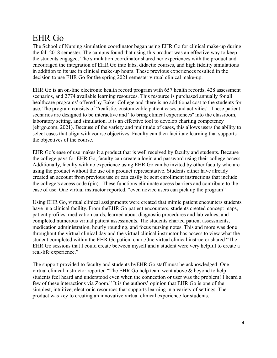## EHR Go

The School of Nursing simulation coordinator began using EHR Go for clinical make-up during the fall 2018 semester. The campus found that using this product was an effective way to keep the students engaged. The simulation coordinator shared her experiences with the product and encouraged the integration of EHR Go into labs, didactic courses, and high fidelity simulations in addition to its use in clinical make-up hours. These previous experiences resulted in the decision to use EHR Go for the spring 2021 semester virtual clinical make-up.

EHR Go is an on-line electronic health record program with 657 health records, 428 assessment scenarios, and 2774 available learning resources. This resource is purchased annually for all healthcare programs' offered by Baker College and there is no additional cost to the students for use. The program consists of "realistic, customizable patient cases and activities''. These patient scenarios are designed to be interactive and "to bring clinical experiences'' into the classroom, laboratory setting, and simulation. It is an effective tool to develop charting competency (ehrgo.com, 2021). Because of the variety and multitude of cases, this allows users the ability to select cases that align with course objectives. Faculty can then facilitate learning that supports the objectives of the course.

EHR Go's ease of use makes it a product that is well received by faculty and students. Because the college pays for EHR Go, faculty can create a login and password using their college access. Additionally, faculty with no experience using EHR Go can be invited by other faculty who are using the product without the use of a product representative. Students either have already created an account from previous use or can easily be sent enrollment instructions that include the college's access code (pin). These functions eliminate access barriers and contribute to the ease of use. One virtual instructor reported, "even novice users can pick up the program".

Using EHR Go, virtual clinical assignments were created that mimic patient encounters students have in a clinical facility. From the EHR Go patient encounters, students created concept maps, patient profiles, medication cards, learned about diagnostic procedures and lab values, and completed numerous virtual patient assessments. The students charted patient assessments, medication administration, hourly rounding, and focus nursing notes. This and more was done throughout the virtual clinical day and the virtual clinical instructor has access to view what the student completed within the EHR Go patient chart.One virtual clinical instructor shared "The EHR Go sessions that I could create between myself and a student were very helpful to create a real-life experience."

The support provided to faculty and students byEHR Go staff must be acknowledged. One virtual clinical instructor reported "The EHR Go help team went above & beyond to help students feel heard and understood even when the connection or user was the problem! I heard a few of these interactions via Zoom." It is the authors' opinion that EHR Go is one of the simplest, intuitive, electronic resources that supports learning in a variety of settings. The product was key to creating an innovative virtual clinical experience for students.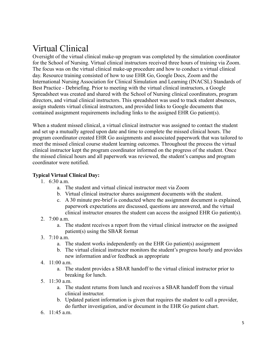# Virtual Clinical

Oversight of the virtual clinical make-up program was completed by the simulation coordinator for the School of Nursing. Virtual clinical instructors received three hours of training via Zoom. The focus was on the virtual clinical make-up procedure and how to conduct a virtual clinical day. Resource training consisted of how to use EHR Go, Google Docs, Zoom and the International Nursing Association for Clinical Simulation and Learning (INACSL) Standards of Best Practice - Debriefing. Prior to meeting with the virtual clinical instructors, a Google Spreadsheet was created and shared with the School of Nursing clinical coordinators, program directors, and virtual clinical instructors. This spreadsheet was used to track student absences, assign students virtual clinical instructors, and provided links to Google documents that contained assignment requirements including links to the assigned EHR Go patient(s).

When a student missed clinical, a virtual clinical instructor was assigned to contact the student and set up a mutually agreed upon date and time to complete the missed clinical hours. The program coordinator created EHR Go assignments and associated paperwork that was tailored to meet the missed clinical course student learning outcomes. Throughout the process the virtual clinical instructor kept the program coordinator informed on the progress of the student. Once the missed clinical hours and all paperwork was reviewed, the student's campus and program coordinator were notified.

#### **Typical Virtual Clinical Day:**

- 1. 6:30 a.m.
	- a. The student and virtual clinical instructor meet via Zoom
	- b. Virtual clinical instructor shares assignment documents with the student.
	- c. A 30 minute pre-brief is conducted where the assignment document is explained, paperwork expectations are discussed, questions are answered, and the virtual clinical instructor ensures the student can access the assigned EHR Go patient(s).
- 2. 7:00 a.m.
	- a. The student receives a report from the virtual clinical instructor on the assigned patient(s) using the SBAR format
- 3.  $7.10 a m$ 
	- a. The student works independently on the EHR Go patient(s) assignment
	- b. The virtual clinical instructor monitors the student's progress hourly and provides new information and/or feedback as appropriate
- 4. 11:00 a.m.
	- a. The student provides a SBAR handoff to the virtual clinical instructor prior to breaking for lunch.
- 5. 11:30 a.m.
	- a. The student returns from lunch and receives a SBAR handoff from the virtual clinical instructor.
	- b. Updated patient information is given that requires the student to call a provider, do further investigation, and/or document in the EHR Go patient chart.
- 6. 11:45 a.m.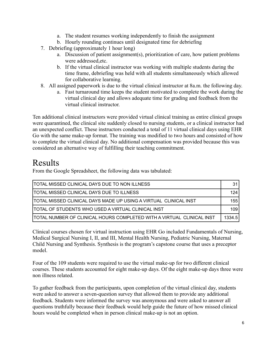- a. The student resumes working independently to finish the assignment
- b. Hourly rounding continues until designated time for debriefing
- 7. Debriefing (approximately 1 hour long)
	- a. Discussion of patient assignment(s), prioritization of care, how patient problems were addressed,etc.
	- b. If the virtual clinical instructor was working with multiple students during the time frame, debriefing was held with all students simultaneously which allowed for collaborative learning.
- 8. All assigned paperwork is due to the virtual clinical instructor at 8a.m. the following day.
	- a. Fast turnaround time keeps the student motivated to complete the work during the virtual clinical day and allows adequate time for grading and feedback from the virtual clinical instructor.

Ten additional clinical instructors were provided virtual clinical training as entire clinical groups were quarantined, the clinical site suddenly closed to nursing students, or a clinical instructor had an unexpected conflict. These instructors conducted a total of 11 virtual clinical days using EHR Go with the same make-up format. The training was modified to two hours and consisted of how to complete the virtual clinical day. No additional compensation was provided because this was considered an alternative way of fulfilling their teaching commitment.

### Results

From the Google Spreadsheet, the following data was tabulated:

| TOTAL MISSED CLINICAL DAYS DUE TO NON ILLNESS                          | 31     |
|------------------------------------------------------------------------|--------|
| TOTAL MISSED CLINICAL DAYS DUE TO ILLNESS                              | 124    |
| TOTAL MISSED CLINICAL DAYS MADE UP USING A VIRTUAL  CLINICAL INST      | 155    |
| <b> TOTAL OF STUDENTS WHO USED A VIRTUAL CLINICAL INST</b>             | 109    |
| TOTAL NUMBER OF CLINICAL HOURS COMPLETED WITH A VIRTUAL  CLINICAL INST | 1334.5 |

Clinical courses chosen for virtual instruction using EHR Go included Fundamentals of Nursing, Medical Surgical Nursing I, II, and III, Mental Health Nursing, Pediatric Nursing, Maternal Child Nursing and Synthesis. Synthesis is the program's capstone course that uses a preceptor model.

Four of the 109 students were required to use the virtual make-up for two different clinical courses. These students accounted for eight make-up days. Of the eight make-up days three were non illness related.

To gather feedback from the participants, upon completion of the virtual clinical day, students were asked to answer a seven-question survey that allowed them to provide any additional feedback. Students were informed the survey was anonymous and were asked to answer all questions truthfully because their feedback would help guide the future of how missed clinical hours would be completed when in person clinical make-up is not an option.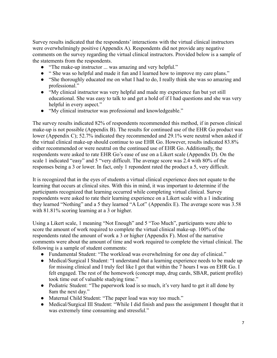Survey results indicated that the respondents' interactions with the virtual clinical instructors were overwhelmingly positive (Appendix A). Respondents did not provide any negative comments on the survey regarding the virtual clinical instructors. Provided below is a sample of the statements from the respondents.

- "The make-up instructor ... was amazing and very helpful."
- " She was so helpful and made it fun and I learned how to improve my care plans."
- "She thoroughly educated me on what I had to do, I really think she was so amazing and professional."
- "My clinical instructor was very helpful and made my experience fun but yet still educational. She was easy to talk to and get a hold of if I had questions and she was very helpful in every aspect."
- "My clinical instructor was professional and knowledgeable."

The survey results indicated 82% of respondents recommended this method, if in person clinical make-up is not possible (Appendix B). The results for continued use of the EHR Go product was lower (Appendix C); 52.7% indicated they recommended and 29.1% were neutral when asked if the virtual clinical make-up should continue to use EHR Go. However, results indicated 83.8% either recommended or were neutral on the continued use of EHR Go. Additionally, the respondents were asked to rate EHR Go's ease of use on a Likert scale (Appendix D). On the scale 1 indicated "easy" and 5 "very difficult. The average score was 2.4 with 80% of the responses being a 3 or lower. In fact, only 1 repondent rated the product a 5, very difficult.

It is recognized that in the eyes of students a virtual clinical experience does not equate to the learning that occurs at clinical sites. With this in mind, it was important to determine if the participants recognized that learning occurred while completing virtual clinical. Survey respondents were asked to rate their learning experience on a Likert scale with a 1 indicating they learned "Nothing" and a 5 they learned "A Lot" (Appendix E). The average score was 3.58 with 81.81% scoring learning at a 3 or higher.

Using a Likert scale, 1 meaning "Not Enough" and 5 "Too Much", participants were able to score the amount of work required to complete the virtual clinical make-up. 100% of the respondents rated the amount of work a 3 or higher (Appendix F). Most of the narrative comments were about the amount of time and work required to complete the virtual clinical. The following is a sample of student comments:

- Fundamental Student: "The workload was overwhelming for one day of clinical."
- Medical/Surgical I Student: "I understand that a learning experience needs to be made up for missing clinical and I truly feel like I got that within the 7 hours I was on EHR Go. I felt engaged. The rest of the homework (concept map, drug cards, SBAR, patient profile) took time out of valuable studying time."
- Pediatric Student: "The paperwork load is so much, it's very hard to get it all done by 8am the next day."
- Maternal Child Student: "The paper load was way too much."
- Medical/Surgical III Student: "While I did finish and pass the assignment I thought that it was extremely time consuming and stressful."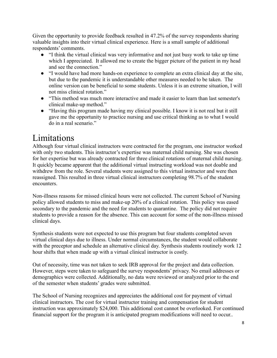Given the opportunity to provide feedback resulted in 47.2% of the survey respondents sharing valuable insights into their virtual clinical experience. Here is a small sample of additional respondents' comments.

- "I think the virtual clinical was very informative and not just busy work to take up time which I appreciated. It allowed me to create the bigger picture of the patient in my head and see the connection."
- "I would have had more hands-on experience to complete an extra clinical day at the site, but due to the pandemic it is understandable other measures needed to be taken. The online version can be beneficial to some students. Unless it is an extreme situation, I will not miss clinical rotation."
- "This method was much more interactive and made it easier to learn than last semester's clinical make-up method."
- "Having this program made having my clinical possible. I know it is not real but it still gave me the opportunity to practice nursing and use critical thinking as to what I would do in a real scenario."

## Limitations

Although four virtual clinical instructors were contracted for the program, one instructor worked with only two students. This instructor's expertise was maternal child nursing. She was chosen for her expertise but was already contracted for three clinical rotations of maternal child nursing. It quickly became apparent that the additional virtual instructing workload was not doable and withdrew from the role. Several students were assigned to this virtual instructor and were then reassigned. This resulted in three virtual clinical instructors completing 98.7% of the student encounters.

Non-illness reasons for missed clinical hours were not collected. The current School of Nursing policy allowed students to miss and make-up 20% of a clinical rotation. This policy was eased secondary to the pandemic and the need for students to quarantine. The policy did not require students to provide a reason for the absence. This can account for some of the non-illness missed clinical days.

Synthesis students were not expected to use this program but four students completed seven virtual clinical days due to illness. Under normal circumstances, the student would collaborate with the preceptor and schedule an alternative clinical day. Synthesis students routinely work 12 hour shifts that when made up with a virtual clinical instructor is costly.

Out of necessity, time was not taken to seek IRB approval for the project and data collection. However, steps were taken to safeguard the survey respondents' privacy. No email addresses or demographics were collected. Additionally, no data were reviewed or analyzed prior to the end of the semester when students' grades were submitted.

The School of Nursing recognizes and appreciates the additional cost for payment of virtual clinical instructors. The cost for virtual instructor training and compensation for student instruction was approximately \$24,000. This additional cost cannot be overlooked. For continued financial support for the program it is anticipated program modifications will need to occur..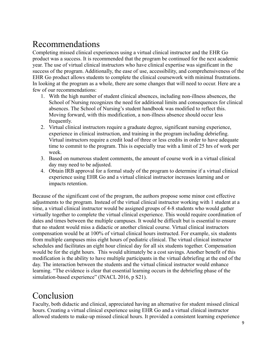## Recommendations

Completing missed clinical experiences using a virtual clinical instructor and the EHR Go product was a success. It is recommended that the program be continued for the next academic year. The use of virtual clinical instructors who have clinical expertise was significant in the success of the program. Additionally, the ease of use, accessibility, and comprehensiveness of the EHR Go product allows students to complete the clinical coursework with minimal frustrations. In looking at the program as a whole, there are some changes that will need to occur. Here are a few of our recommendations:

- 1. With the high number of student clinical absences, including non-illness absences, the School of Nursing recognizes the need for additional limits and consequences for clinical absences. The School of Nursing's student handbook was modified to reflect this. Moving forward, with this modification, a non-illness absence should occur less frequently.
- 2. Virtual clinical instructors require a graduate degree, significant nursing experience, experience in clinical instruction, and training in the program including debriefing. Virtual instructors require a credit load of three or less credits in order to have adequate time to commit to the program. This is especially true with a limit of 25 hrs of work per week.
- 3. Based on numerous student comments, the amount of course work in a virtual clinical day may need to be adjusted.
- 4. Obtain IRB approval for a formal study of the program to determine if a virtual clinical experience using EHR Go and a virtual clinical instructor increases learning and or impacts retention.

Because of the significant cost of the program, the authors propose some minor cost effective adjustments to the program. Instead of the virtual clinical instructor working with 1 student at a time, a virtual clinical instructor would be assigned groups of 4-8 students who would gather virtually together to complete the virtual clinical experience. This would require coordination of dates and times between the multiple campuses. It would be difficult but is essential to ensure that no student would miss a didactic or another clinical course. Virtual clinical instructors compensation would be at 100% of virtual clinical hours instructed. For example, six students from multiple campuses miss eight hours of pediatric clinical. The virtual clinical instructor schedules and facilitates an eight hour clinical day for all six students together. Compensation would be for the eight hours. This would ultimately be a cost savings. Another benefit of this modification is the ability to have multiple participants in the virtual debriefing at the end of the day. The interaction between the students and the virtual clinical instructor would enhance learning. "The evidence is clear that essential learning occurs in the debriefing phase of the simulation-based experience" (INACL 2016, p S21).

## Conclusion

Faculty, both didactic and clinical, appreciated having an alternative for student missed clinical hours. Creating a virtual clinical experience using EHR Go and a virtual clinical instructor allowed students to make-up missed clinical hours. It provided a consistent learning experience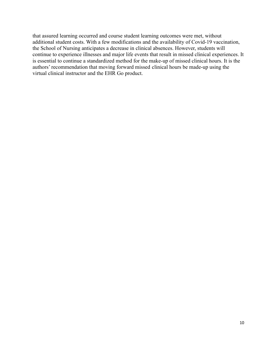that assured learning occurred and course student learning outcomes were met, without additional student costs. With a few modifications and the availability of Covid-19 vaccination, the School of Nursing anticipates a decrease in clinical absences. However, students will continue to experience illnesses and major life events that result in missed clinical experiences. It is essential to continue a standardized method for the make-up of missed clinical hours. It is the authors' recommendation that moving forward missed clinical hours be made-up using the virtual clinical instructor and the EHR Go product.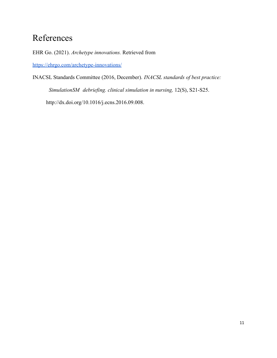### References

EHR Go. (2021). *Archetype innovations.* Retrieved from

<https://ehrgo.com/archetype-innovations/>

INACSL Standards Committee (2016, December). *INACSL standards of best practice:*

*SimulationSM debriefing. clinical simulation in nursing,* 12(S), S21-S25.

http://dx.doi.org/10.1016/j.ecns.2016.09.008.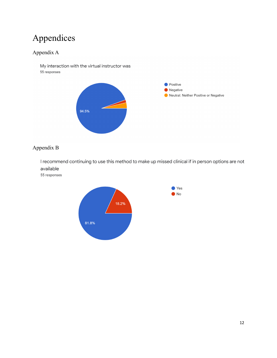# Appendices

### Appendix A

My interaction with the virtual instructor was 55 responses



### Appendix B

I recommend continuing to use this method to make up missed clinical if in person options are not available

55 responses

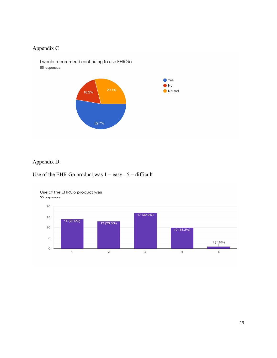### Appendix C

I would recommend continuing to use EHRGo 55 responses



### Appendix D:

#### Use of the EHR Go product was  $1 = e$ asy -  $5 =$  difficult



#### Use of the EHRGo product was 55 responses